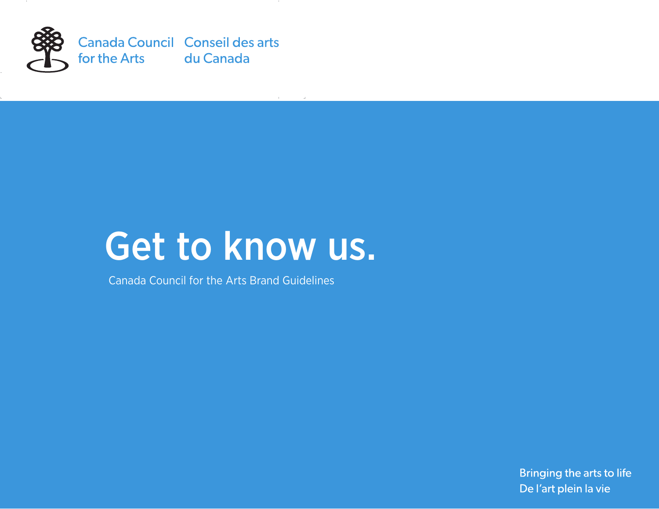

# Get to know us.

Canada Council for the Arts Brand Guidelines

Bringing the arts to life De l'art plein la vie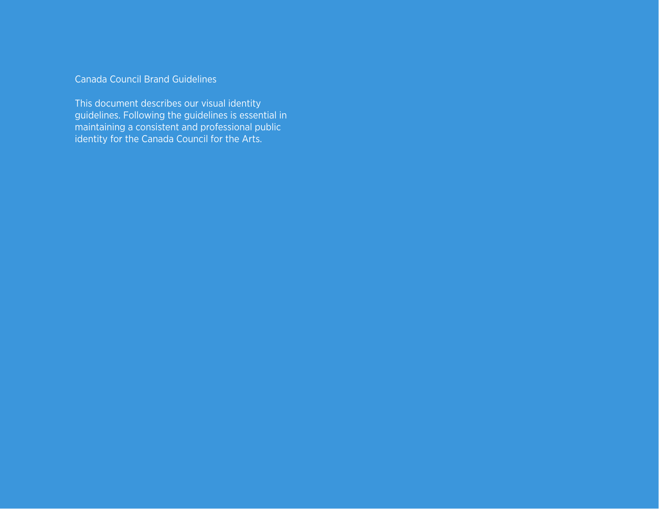#### Canada Council Brand Guidelines

This document describes our visual identity guidelines. Following the guidelines is essential in maintaining a consistent and professional public identity for the Canada Council for the Arts.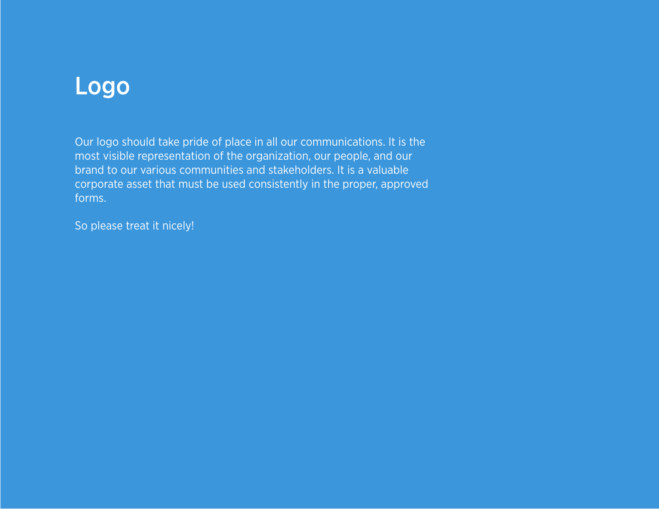# Logo

Our logo should take pride of place in all our communications. It is the most visible representation of the organization, our people, and our brand to our various communities and stakeholders. It is a valuable corporate asset that must be used consistently in the proper, approved forms.

So please treat it nicely!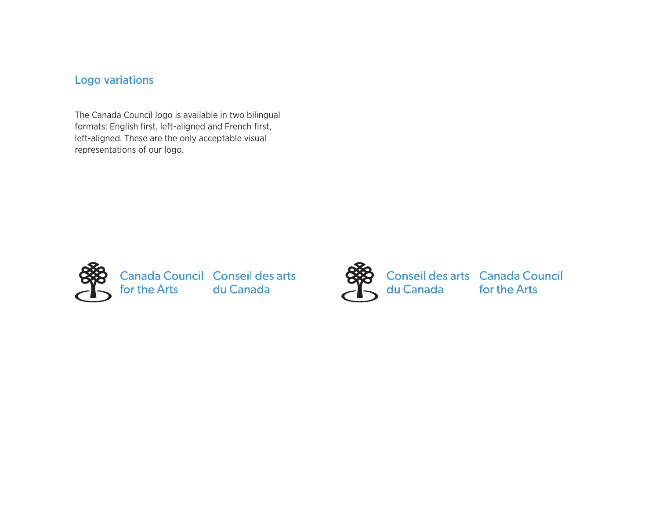#### Logo variations

The Canada Council logo is available in two bilingual formats: English first, left-aligned and French first, left-aligned. These are the only acceptable visual representations of our logo.



**Canada Council Conseil des arts<br>for the Arts** du Canada



Conseil des arts Canada Council<br>du Canada for the Arts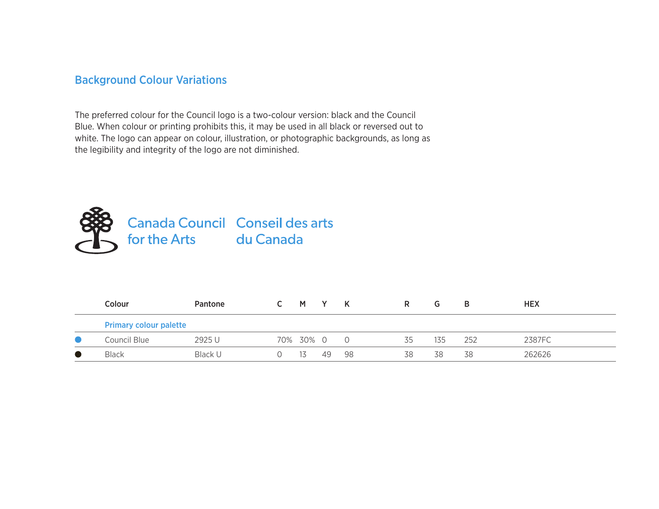#### Background Colour Variations

The preferred colour for the Council logo is a two-colour version: black and the Council Blue. When colour or printing prohibits this, it may be used in all black or reversed out to white. The logo can appear on colour, illustration, or photographic backgrounds, as long as the legibility and integrity of the logo are not diminished.



| Colour                        | Pantone |  | M i             |    | K  | R. | G   | в   | <b>HEX</b> |
|-------------------------------|---------|--|-----------------|----|----|----|-----|-----|------------|
| <b>Primary colour palette</b> |         |  |                 |    |    |    |     |     |            |
| Council Blue                  | 2925 U  |  | 70% 30% 0 0     |    |    | 35 | 135 | 252 | 2387FC     |
| <b>Black</b>                  | Black U |  | $\overline{15}$ | 49 | 98 | 38 | 38  | 38  | 262626     |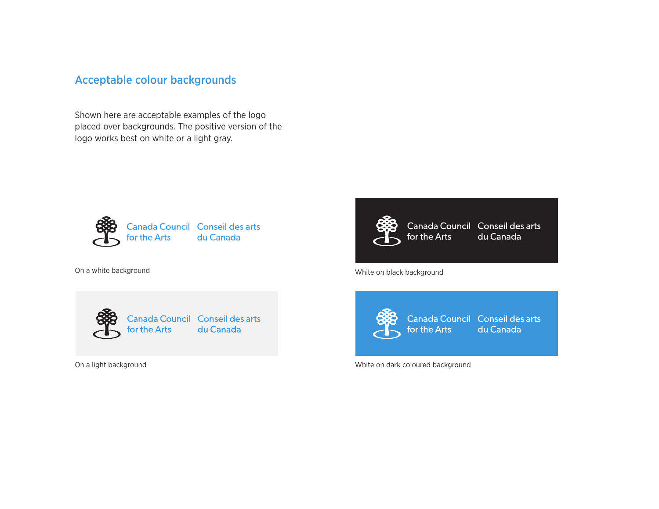#### Acceptable colour backgrounds

Shown here are acceptable examples of the logo placed over backgrounds. The positive version of the logo works best on white or a light gray.





Canada Council Conseil des arts<br>for the Arts du Canada



Canada Council Conseil des arts for the Arts du Canada

On a white background and the background white on black background



Canada Council Conseil des arts du Canada

On a light background White on dark coloured background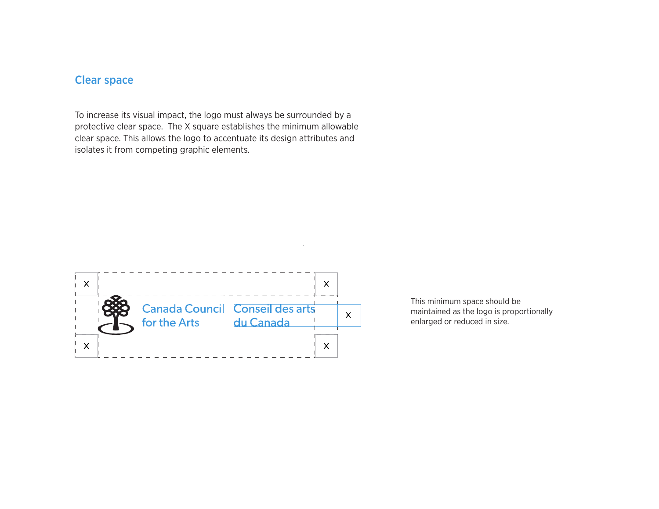### Clear space

To increase its visual impact, the logo must always be surrounded by a protective clear space. The X square establishes the minimum allowable clear space. This allows the logo to accentuate its design attributes and isolates it from competing graphic elements.



This minimum space should be maintained as the logo is proportionally enlarged or reduced in size.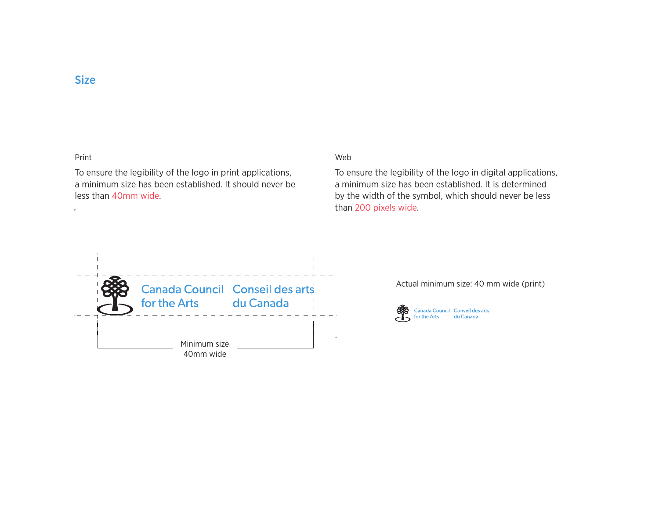#### Size

#### Print

To ensure the legibility of the logo in print applications, a minimum size has been established. It should never be less than 40mm wide.

#### Web

To ensure the legibility of the logo in digital applications, a minimum size has been established. It is determined by the width of the symbol, which should never be less than 200 pixels wide.



Actual minimum size: 40 mm wide (print)

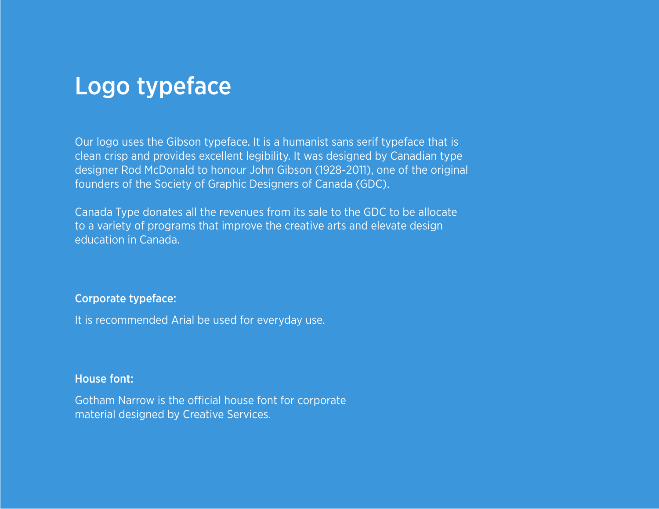## Logo typeface

Our logo uses the Gibson typeface. It is a humanist sans serif typeface that is clean crisp and provides excellent legibility. It was designed by Canadian type designer Rod McDonald to honour John Gibson (1928-2011), one of the original founders of the Society of Graphic Designers of Canada (GDC).

Canada Type donates all the revenues from its sale to the GDC to be allocate to a variety of programs that improve the creative arts and elevate design education in Canada.

#### Corporate typeface:

It is recommended Arial be used for everyday use.

#### House font:

Gotham Narrow is the official house font for corporate material designed by Creative Services.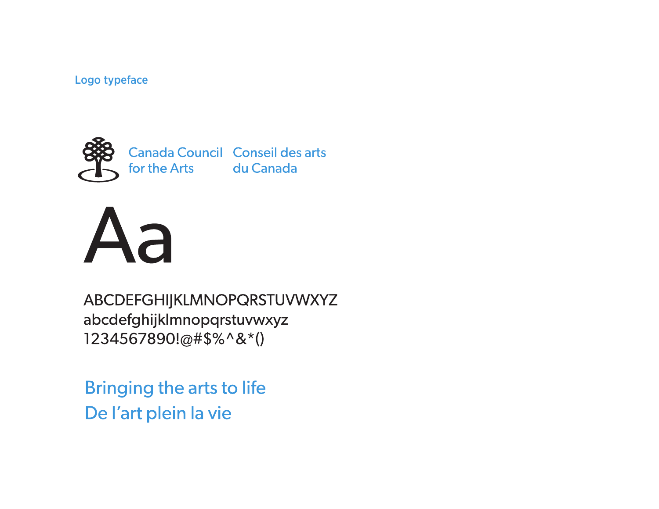### Logo typeface



Canada Council Conseil des arts for the Arts du Canada



ABCDEFGHIJKLMNOPQRSTUVWXYZ abcdefghijklmnopqrstuvwxyz 1234567890!@#\$%^&\*()

**Bringing the arts to life** De l'art plein la vie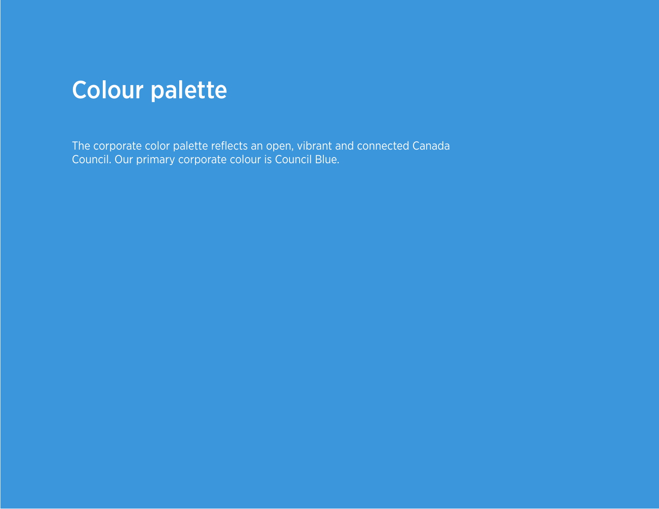

The corporate color palette reflects an open, vibrant and connected Canada Council. Our primary corporate colour is Council Blue.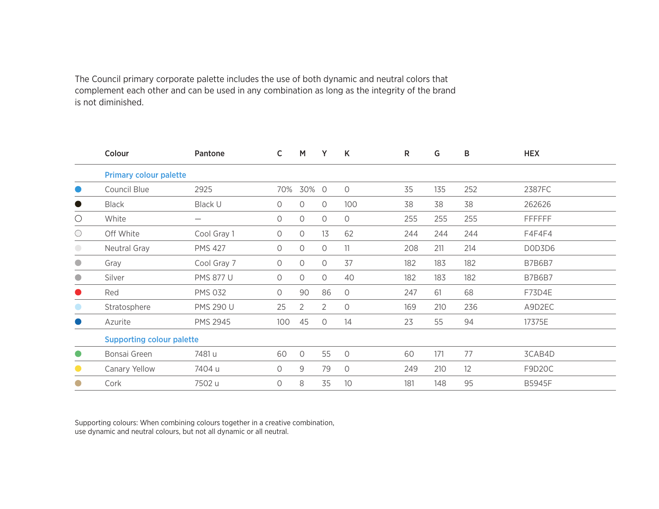The Council primary corporate palette includes the use of both dynamic and neutral colors that complement each other and can be used in any combination as long as the integrity of the brand is not diminished.

|            | Colour                           | Pantone                         | $\mathsf{C}$        | M              | Y       | K       | $\mathsf{R}$ | G   | B   | <b>HEX</b>    |  |
|------------|----------------------------------|---------------------------------|---------------------|----------------|---------|---------|--------------|-----|-----|---------------|--|
|            | <b>Primary colour palette</b>    |                                 |                     |                |         |         |              |     |     |               |  |
| $\bullet$  | Council Blue                     | 2925                            | 70%                 | 30% 0          |         | $\circ$ | 35           | 135 | 252 | 2387FC        |  |
| $\bullet$  | <b>Black</b>                     | Black U                         | 0                   | $\circ$        | $\circ$ | 100     | 38           | 38  | 38  | 262626        |  |
| $\bigcirc$ | White                            | $\hspace{0.1mm}-\hspace{0.1mm}$ | 0                   | $\circ$        | $\circ$ | $\circ$ | 255          | 255 | 255 | <b>FFFFFF</b> |  |
| $\bigcirc$ | Off White                        | Cool Gray 1                     | 0                   | $\circ$        | 13      | 62      | 244          | 244 | 244 | F4F4F4        |  |
| $\bigcirc$ | Neutral Gray                     | <b>PMS 427</b>                  | 0                   | $\circ$        | $\circ$ | 11      | 208          | 211 | 214 | DOD3D6        |  |
| $\bigcirc$ | Gray                             | Cool Gray 7                     | $\circ$             | $\circ$        | $\circ$ | 37      | 182          | 183 | 182 | <b>B7B6B7</b> |  |
| $\bullet$  | Silver                           | <b>PMS 877 U</b>                | $\circ$             | $\circ$        | $\circ$ | 40      | 182          | 183 | 182 | <b>B7B6B7</b> |  |
| $\bullet$  | Red                              | <b>PMS 032</b>                  | $\bigcirc$          | 90             | 86      | $\circ$ | 247          | 61  | 68  | F73D4E        |  |
|            | Stratosphere                     | <b>PMS 290 U</b>                | 25                  | $\overline{2}$ | 2       | $\circ$ | 169          | 210 | 236 | A9D2EC        |  |
|            | Azurite                          | <b>PMS 2945</b>                 | 100                 | 45             | $\circ$ | 14      | 23           | 55  | 94  | 17375E        |  |
|            | <b>Supporting colour palette</b> |                                 |                     |                |         |         |              |     |     |               |  |
| $\bullet$  | Bonsai Green                     | 7481 u                          | 60                  | $\circ$        | 55      | $\circ$ | 60           | 171 | 77  | 3CAB4D        |  |
|            | Canary Yellow                    | 7404 u                          | $\circlearrowright$ | $9$            | 79      | $\circ$ | 249          | 210 | 12  | F9D20C        |  |
|            | Cork                             | 7502 u                          | $\circ$             | 8              | 35      | 10      | 181          | 148 | 95  | <b>B5945F</b> |  |

Supporting colours: When combining colours together in a creative combination, use dynamic and neutral colours, but not all dynamic or all neutral.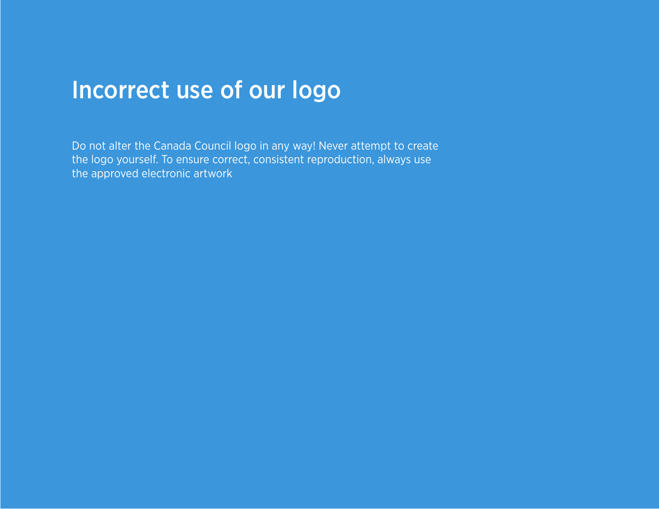# Incorrect use of our logo

Do not alter the Canada Council logo in any way! Never attempt to create the logo yourself. To ensure correct, consistent reproduction, always use the approved electronic artwork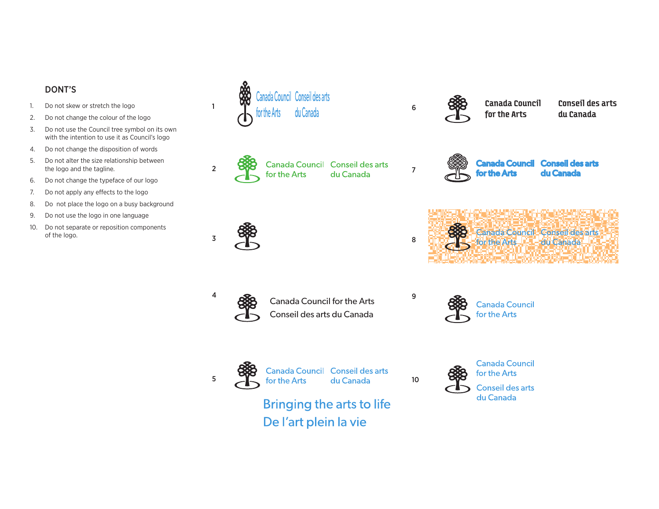#### DONT'S

- 1. Do not skew or stretch the logo
- 2. Do not change the colour of the logo
- 3. Do not use the Council tree symbol on its own with the intention to use it as Council's logo
- 4. Do not change the disposition of words
- 5. Do not alter the size relationship between the logo and the tagline.
- 6. Do not change the typeface of our logo
- 7. Do not apply any effects to the logo
- 8. Do not place the logo on a busy background
- 9. Do not use the logo in one language
- 10. Do not separate or reposition components of the logo.





2 888 Canada Council Conseil des arts<br>for the Arts du Canada 7





4 888 Canada Council for the Arts Conseil des arts du Canada



5 288 Canada Council Conseil des arts<br>5 for the Arts du Canada 10

**Bringing the arts to life** De l'art plein la vie



Canada Council for the Arts

Conseil des arts du Canada



**Canada Council Conseil des arts** du Canada **for the Art**s



**Canada Council** for the Arts



**Canada Council** for the Arts

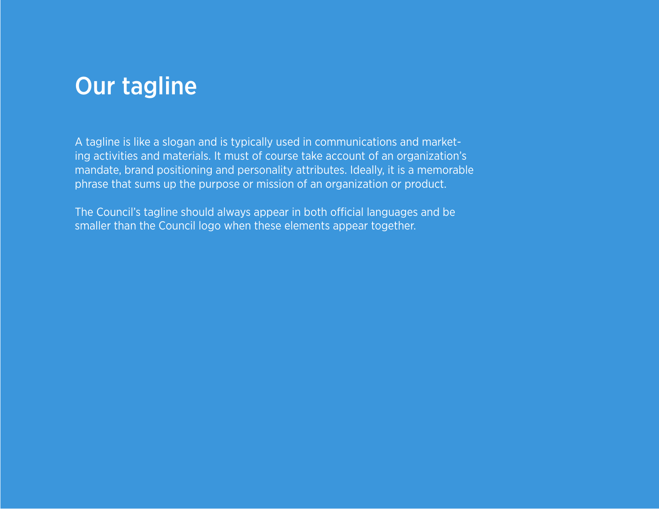### Our tagline

A tagline is like a slogan and is typically used in communications and marketing activities and materials. It must of course take account of an organization's mandate, brand positioning and personality attributes. Ideally, it is a memorable phrase that sums up the purpose or mission of an organization or product.

The Council's tagline should always appear in both official languages and be smaller than the Council logo when these elements appear together.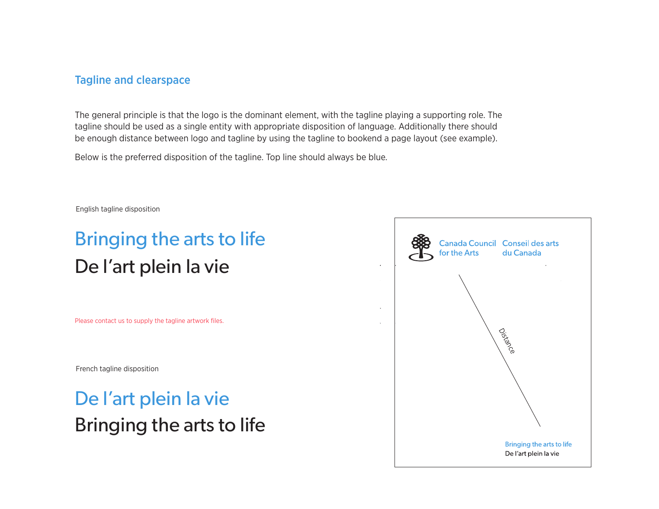#### Tagline and clearspace

The general principle is that the logo is the dominant element, with the tagline playing a supporting role. The tagline should be used as a single entity with appropriate disposition of language. Additionally there should be enough distance between logo and tagline by using the tagline to bookend a page layout (see example).

Below is the preferred disposition of the tagline. Top line should always be blue.

English tagline disposition

## Bringing the arts to life De l'art plein la vie

Please contact us to supply the tagline artwork files.

French tagline disposition

### De l'art plein la vie Bringing the arts to life

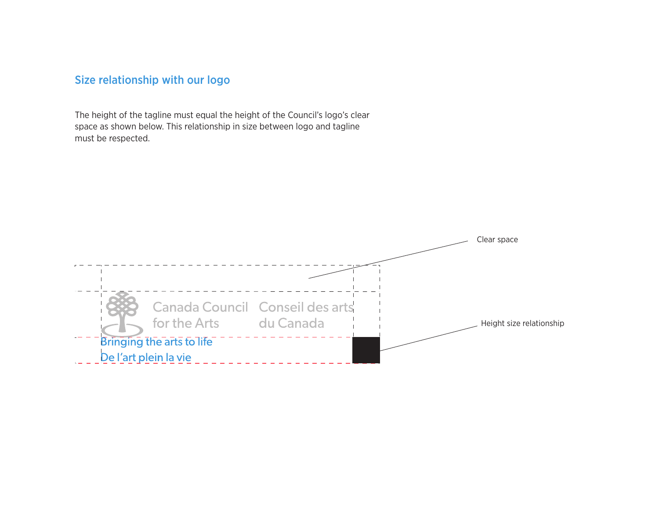### Size relationship with our logo

The height of the tagline must equal the height of the Council's logo's clear space as shown below. This relationship in size between logo and tagline must be respected.